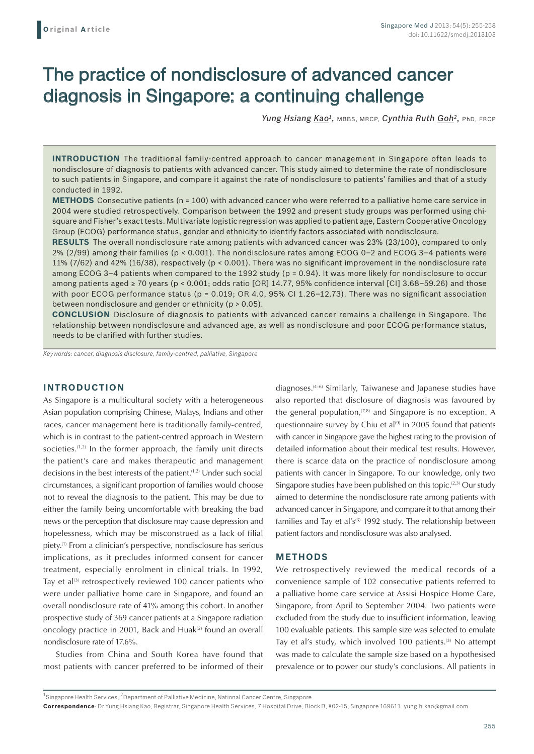# The practice of nondisclosure of advanced cancer diagnosis in Singapore: a continuing challenge

*Yung Hsiang Kao1,* MBBS, MRCP, *Cynthia Ruth Goh2,* PhD, FRCP

**INTRODUCTION** The traditional family-centred approach to cancer management in Singapore often leads to nondisclosure of diagnosis to patients with advanced cancer. This study aimed to determine the rate of nondisclosure to such patients in Singapore, and compare it against the rate of nondisclosure to patients' families and that of a study conducted in 1992.

**METHODS** Consecutive patients (n = 100) with advanced cancer who were referred to a palliative home care service in 2004 were studied retrospectively. Comparison between the 1992 and present study groups was performed using chisquare and Fisher's exact tests. Multivariate logistic regression was applied to patient age, Eastern Cooperative Oncology Group (ECOG) performance status, gender and ethnicity to identify factors associated with nondisclosure.

**RESULTS** The overall nondisclosure rate among patients with advanced cancer was 23% (23/100), compared to only 2% (2/99) among their families (p < 0.001). The nondisclosure rates among ECOG 0–2 and ECOG 3–4 patients were 11% (7/62) and 42% (16/38), respectively (p < 0.001). There was no significant improvement in the nondisclosure rate among ECOG 3-4 patients when compared to the 1992 study (p = 0.94). It was more likely for nondisclosure to occur among patients aged ≥ 70 years (p < 0.001; odds ratio [OR] 14.77, 95% confidence interval [CI] 3.68–59.26) and those with poor ECOG performance status (p = 0.019; OR 4.0, 95% CI 1.26–12.73). There was no significant association between nondisclosure and gender or ethnicity (p > 0.05).

**CONCLUSION** Disclosure of diagnosis to patients with advanced cancer remains a challenge in Singapore. The relationship between nondisclosure and advanced age, as well as nondisclosure and poor ECOG performance status, needs to be clarified with further studies.

*Keywords: cancer, diagnosis disclosure, family-centred, palliative, Singapore*

## **INTRODUCTION**

As Singapore is a multicultural society with a heterogeneous Asian population comprising Chinese, Malays, Indians and other races, cancer management here is traditionally family-centred, which is in contrast to the patient-centred approach in Western societies. $(1,2)$  In the former approach, the family unit directs the patient's care and makes therapeutic and management decisions in the best interests of the patient.<sup>(1,2)</sup> Under such social circumstances, a significant proportion of families would choose not to reveal the diagnosis to the patient. This may be due to either the family being uncomfortable with breaking the bad news or the perception that disclosure may cause depression and hopelessness, which may be misconstrued as a lack of filial piety.(1) From a clinician's perspective, nondisclosure has serious implications, as it precludes informed consent for cancer treatment, especially enrolment in clinical trials. In 1992, Tay et al<sup>(3)</sup> retrospectively reviewed 100 cancer patients who were under palliative home care in Singapore, and found an overall nondisclosure rate of 41% among this cohort. In another prospective study of 369 cancer patients at a Singapore radiation oncology practice in 2001, Back and Huak<sup>(2)</sup> found an overall nondisclosure rate of 17.6%.

Studies from China and South Korea have found that most patients with cancer preferred to be informed of their diagnoses.(4-6) Similarly, Taiwanese and Japanese studies have also reported that disclosure of diagnosis was favoured by the general population, $(7,8)$  and Singapore is no exception. A questionnaire survey by Chiu et al $^{(9)}$  in 2005 found that patients with cancer in Singapore gave the highest rating to the provision of detailed information about their medical test results. However, there is scarce data on the practice of nondisclosure among patients with cancer in Singapore. To our knowledge, only two Singapore studies have been published on this topic.<sup>(2,3)</sup> Our study aimed to determine the nondisclosure rate among patients with advanced cancer in Singapore, and compare it to that among their families and Tay et al's<sup>(3)</sup> 1992 study. The relationship between patient factors and nondisclosure was also analysed.

#### **METHODS**

We retrospectively reviewed the medical records of a convenience sample of 102 consecutive patients referred to a palliative home care service at Assisi Hospice Home Care, Singapore, from April to September 2004. Two patients were excluded from the study due to insufficient information, leaving 100 evaluable patients. This sample size was selected to emulate Tay et al's study, which involved 100 patients.<sup>(3)</sup> No attempt was made to calculate the sample size based on a hypothesised prevalence or to power our study's conclusions. All patients in

 $^{\rm 1}$ Singapore Health Services,  $^{\rm 2}$ Department of Palliative Medicine, National Cancer Centre, Singapore

**Correspondence**: Dr Yung Hsiang Kao, Registrar, Singapore Health Services, 7 Hospital Drive, Block B, #02-15, Singapore 169611. yung.h.kao@gmail.com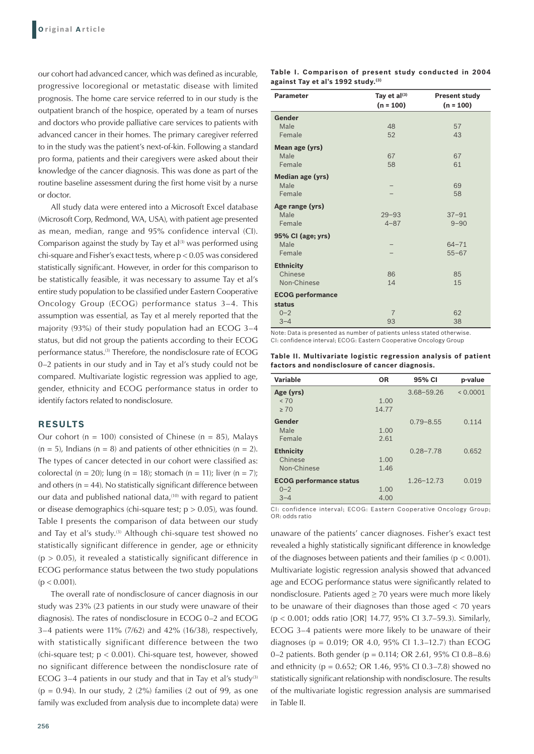our cohort had advanced cancer, which was defined as incurable, progressive locoregional or metastatic disease with limited prognosis. The home care service referred to in our study is the outpatient branch of the hospice, operated by a team of nurses and doctors who provide palliative care services to patients with advanced cancer in their homes. The primary caregiver referred to in the study was the patient's next-of-kin. Following a standard pro forma, patients and their caregivers were asked about their knowledge of the cancer diagnosis. This was done as part of the routine baseline assessment during the first home visit by a nurse or doctor.

All study data were entered into a Microsoft Excel database (Microsoft Corp, Redmond, WA, USA), with patient age presented as mean, median, range and 95% confidence interval (CI). Comparison against the study by Tay et  $al^{(3)}$  was performed using chi-square and Fisher's exact tests, where p < 0.05 was considered statistically significant. However, in order for this comparison to be statistically feasible, it was necessary to assume Tay et al's entire study population to be classified under Eastern Cooperative Oncology Group (ECOG) performance status 3–4. This assumption was essential, as Tay et al merely reported that the majority (93%) of their study population had an ECOG 3–4 status, but did not group the patients according to their ECOG performance status.<sup>(3)</sup> Therefore, the nondisclosure rate of ECOG 0–2 patients in our study and in Tay et al's study could not be compared. Multivariate logistic regression was applied to age, gender, ethnicity and ECOG performance status in order to identify factors related to nondisclosure.

#### **RESULTS**

Our cohort (n = 100) consisted of Chinese (n = 85), Malays  $(n = 5)$ , Indians  $(n = 8)$  and patients of other ethnicities  $(n = 2)$ . The types of cancer detected in our cohort were classified as: colorectal (n = 20); lung (n = 18); stomach (n = 11); liver (n = 7); and others ( $n = 44$ ). No statistically significant difference between our data and published national data,<sup>(10)</sup> with regard to patient or disease demographics (chi-square test;  $p > 0.05$ ), was found. Table I presents the comparison of data between our study and Tay et al's study.<sup>(3)</sup> Although chi-square test showed no statistically significant difference in gender, age or ethnicity  $(p > 0.05)$ , it revealed a statistically significant difference in ECOG performance status between the two study populations  $(p < 0.001)$ .

The overall rate of nondisclosure of cancer diagnosis in our study was 23% (23 patients in our study were unaware of their diagnosis). The rates of nondisclosure in ECOG 0–2 and ECOG 3–4 patients were 11% (7/62) and 42% (16/38), respectively, with statistically significant difference between the two (chi-square test;  $p < 0.001$ ). Chi-square test, however, showed no significant difference between the nondisclosure rate of ECOG 3-4 patients in our study and that in Tay et al's study<sup>(3)</sup>  $(p = 0.94)$ . In our study, 2 (2%) families (2 out of 99, as one family was excluded from analysis due to incomplete data) were

|  | Table I. Comparison of present study conducted in 2004 |  |  |  |
|--|--------------------------------------------------------|--|--|--|
|  | against Tay et al's 1992 study. <sup>(3)</sup>         |  |  |  |

| <b>Parameter</b>        | Tay et al(3)   | <b>Present study</b> |  |  |
|-------------------------|----------------|----------------------|--|--|
|                         | $(n = 100)$    | $(n = 100)$          |  |  |
| Gender                  |                |                      |  |  |
| Male                    | 48             | 57                   |  |  |
| Female                  | 52             | 43                   |  |  |
| Mean age (yrs)          |                |                      |  |  |
| Male                    | 67             | 67                   |  |  |
| Female                  | 58             | 61                   |  |  |
| <b>Median age (yrs)</b> |                |                      |  |  |
| Male                    |                | 69                   |  |  |
| Female                  |                | 58                   |  |  |
| Age range (yrs)         |                |                      |  |  |
| Male                    | $29 - 93$      | $37 - 91$            |  |  |
| Female                  | $4 - 87$       | $9 - 90$             |  |  |
| 95% CI (age; yrs)       |                |                      |  |  |
| Male                    |                | $64 - 71$            |  |  |
| Female                  |                | $55 - 67$            |  |  |
| <b>Ethnicity</b>        |                |                      |  |  |
| Chinese                 | 86             | 85                   |  |  |
| Non-Chinese             | 14             | 15                   |  |  |
| <b>ECOG performance</b> |                |                      |  |  |
| status                  |                |                      |  |  |
| $0 - 2$                 | $\overline{7}$ | 62                   |  |  |
| $3 - 4$                 | 93             | 38                   |  |  |

Note: Data is presented as number of patients unless stated otherwise. CI: confidence interval; ECOG: Eastern Cooperative Oncology Group

**Table II. Multivariate logistic regression analysis of patient factors and nondisclosure of cancer diagnosis.**

| <b>Variable</b>                                      | <b>OR</b>     | 95% CI         | p-value  |
|------------------------------------------------------|---------------|----------------|----------|
| Age (yrs)<br>< 70<br>> 70                            | 1.00<br>14.77 | $3.68 - 59.26$ | < 0.0001 |
| Gender<br>Male<br>Female                             | 1.00<br>2.61  | $0.79 - 8.55$  | 0.114    |
| <b>Ethnicity</b><br>Chinese<br>Non-Chinese           | 1.00<br>1.46  | $0.28 - 7.78$  | 0.652    |
| <b>ECOG performance status</b><br>$0 - 2$<br>$3 - 4$ | 1.00<br>4.00  | $1.26 - 12.73$ | 0.019    |

CI: confidence interval; ECOG: Eastern Cooperative Oncology Group; OR: odds ratio

unaware of the patients' cancer diagnoses. Fisher's exact test revealed a highly statistically significant difference in knowledge of the diagnoses between patients and their families ( $p < 0.001$ ). Multivariate logistic regression analysis showed that advanced age and ECOG performance status were significantly related to nondisclosure. Patients aged  $\geq$  70 years were much more likely to be unaware of their diagnoses than those aged < 70 years (p < 0.001; odds ratio [OR] 14.77, 95% CI 3.7–59.3). Similarly, ECOG 3–4 patients were more likely to be unaware of their diagnoses ( $p = 0.019$ ; OR 4.0, 95% CI 1.3-12.7) than ECOG 0–2 patients. Both gender (p = 0.114; OR 2.61, 95% CI 0.8–8.6) and ethnicity ( $p = 0.652$ ; OR 1.46, 95% CI 0.3–7.8) showed no statistically significant relationship with nondisclosure. The results of the multivariate logistic regression analysis are summarised in Table II.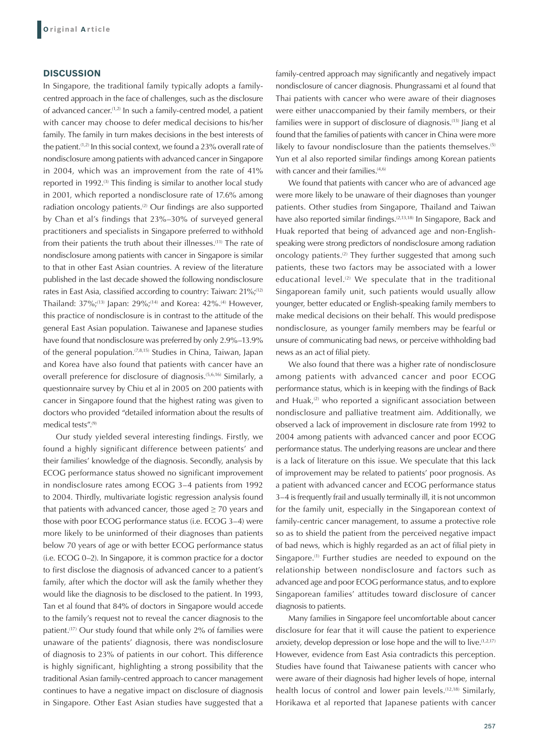### **DISCUSSION**

In Singapore, the traditional family typically adopts a familycentred approach in the face of challenges, such as the disclosure of advanced cancer.(1,2) In such a family-centred model, a patient with cancer may choose to defer medical decisions to his/her family. The family in turn makes decisions in the best interests of the patient.<sup>(1,2)</sup> In this social context, we found a 23% overall rate of nondisclosure among patients with advanced cancer in Singapore in 2004, which was an improvement from the rate of 41% reported in 1992.<sup>(3)</sup> This finding is similar to another local study in 2001, which reported a nondisclosure rate of 17.6% among radiation oncology patients.(2) Our findings are also supported by Chan et al's findings that 23%–30% of surveyed general practitioners and specialists in Singapore preferred to withhold from their patients the truth about their illnesses.<sup>(11)</sup> The rate of nondisclosure among patients with cancer in Singapore is similar to that in other East Asian countries. A review of the literature published in the last decade showed the following nondisclosure rates in East Asia, classified according to country: Taiwan: 21%;<sup>(12)</sup> Thailand:  $37\%$ ;<sup>(13)</sup> Japan:  $29\%$ ;<sup>(14)</sup> and Korea:  $42\%$ .<sup>(4)</sup> However, this practice of nondisclosure is in contrast to the attitude of the general East Asian population. Taiwanese and Japanese studies have found that nondisclosure was preferred by only 2.9%–13.9% of the general population.<sup>(7,8,15)</sup> Studies in China, Taiwan, Japan and Korea have also found that patients with cancer have an overall preference for disclosure of diagnosis.<sup>(5,6,16)</sup> Similarly, a questionnaire survey by Chiu et al in 2005 on 200 patients with cancer in Singapore found that the highest rating was given to doctors who provided "detailed information about the results of medical tests".(9)

Our study yielded several interesting findings. Firstly, we found a highly significant difference between patients' and their families' knowledge of the diagnosis. Secondly, analysis by ECOG performance status showed no significant improvement in nondisclosure rates among ECOG 3–4 patients from 1992 to 2004. Thirdly, multivariate logistic regression analysis found that patients with advanced cancer, those aged  $\geq$  70 years and those with poor ECOG performance status (i.e. ECOG 3–4) were more likely to be uninformed of their diagnoses than patients below 70 years of age or with better ECOG performance status (i.e. ECOG 0–2). In Singapore, it is common practice for a doctor to first disclose the diagnosis of advanced cancer to a patient's family, after which the doctor will ask the family whether they would like the diagnosis to be disclosed to the patient. In 1993, Tan et al found that 84% of doctors in Singapore would accede to the family's request not to reveal the cancer diagnosis to the patient.(17) Our study found that while only 2% of families were unaware of the patients' diagnosis, there was nondisclosure of diagnosis to 23% of patients in our cohort. This difference is highly significant, highlighting a strong possibility that the traditional Asian family-centred approach to cancer management continues to have a negative impact on disclosure of diagnosis in Singapore. Other East Asian studies have suggested that a family-centred approach may significantly and negatively impact nondisclosure of cancer diagnosis. Phungrassami et al found that Thai patients with cancer who were aware of their diagnoses were either unaccompanied by their family members, or their families were in support of disclosure of diagnosis.(13) Jiang et al found that the families of patients with cancer in China were more likely to favour nondisclosure than the patients themselves.<sup>(5)</sup> Yun et al also reported similar findings among Korean patients with cancer and their families.<sup>(4,6)</sup>

We found that patients with cancer who are of advanced age were more likely to be unaware of their diagnoses than younger patients. Other studies from Singapore, Thailand and Taiwan have also reported similar findings.<sup>(2,13,18)</sup> In Singapore, Back and Huak reported that being of advanced age and non-Englishspeaking were strong predictors of nondisclosure among radiation oncology patients.<sup>(2)</sup> They further suggested that among such patients, these two factors may be associated with a lower educational level. $(2)$  We speculate that in the traditional Singaporean family unit, such patients would usually allow younger, better educated or English-speaking family members to make medical decisions on their behalf. This would predispose nondisclosure, as younger family members may be fearful or unsure of communicating bad news, or perceive withholding bad news as an act of filial piety.

We also found that there was a higher rate of nondisclosure among patients with advanced cancer and poor ECOG performance status, which is in keeping with the findings of Back and Huak, $(2)$  who reported a significant association between nondisclosure and palliative treatment aim. Additionally, we observed a lack of improvement in disclosure rate from 1992 to 2004 among patients with advanced cancer and poor ECOG performance status. The underlying reasons are unclear and there is a lack of literature on this issue. We speculate that this lack of improvement may be related to patients' poor prognosis. As a patient with advanced cancer and ECOG performance status 3–4 is frequently frail and usually terminally ill, it is not uncommon for the family unit, especially in the Singaporean context of family-centric cancer management, to assume a protective role so as to shield the patient from the perceived negative impact of bad news, which is highly regarded as an act of filial piety in Singapore.<sup>(1)</sup> Further studies are needed to expound on the relationship between nondisclosure and factors such as advanced age and poor ECOG performance status, and to explore Singaporean families' attitudes toward disclosure of cancer diagnosis to patients.

Many families in Singapore feel uncomfortable about cancer disclosure for fear that it will cause the patient to experience anxiety, develop depression or lose hope and the will to live.  $(1,2,17)$ However, evidence from East Asia contradicts this perception. Studies have found that Taiwanese patients with cancer who were aware of their diagnosis had higher levels of hope, internal health locus of control and lower pain levels.<sup>(12,18)</sup> Similarly, Horikawa et al reported that Japanese patients with cancer